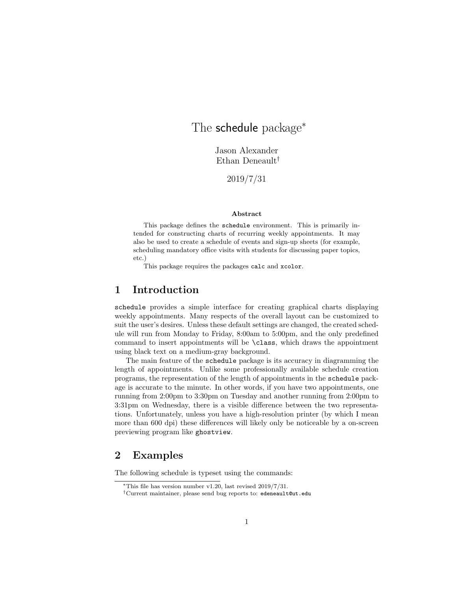# The schedule package<sup>\*</sup>

Jason Alexander Ethan Deneault<sup>†</sup>

2019/7/31

### Abstract

This package defines the schedule environment. This is primarily intended for constructing charts of recurring weekly appointments. It may also be used to create a schedule of events and sign-up sheets (for example, scheduling mandatory office visits with students for discussing paper topics, etc.)

This package requires the packages calc and xcolor.

### 1 Introduction

schedule provides a simple interface for creating graphical charts displaying weekly appointments. Many respects of the overall layout can be customized to suit the user's desires. Unless these default settings are changed, the created schedule will run from Monday to Friday, 8:00am to 5:00pm, and the only predefined command to insert appointments will be \class, which draws the appointment using black text on a medium-gray background.

The main feature of the schedule package is its accuracy in diagramming the length of appointments. Unlike some professionally available schedule creation programs, the representation of the length of appointments in the schedule package is accurate to the minute. In other words, if you have two appointments, one running from 2:00pm to 3:30pm on Tuesday and another running from 2:00pm to 3:31pm on Wednesday, there is a visible difference between the two representations. Unfortunately, unless you have a high-resolution printer (by which I mean more than 600 dpi) these differences will likely only be noticeable by a on-screen previewing program like ghostview.

### 2 Examples

The following schedule is typeset using the commands:

<sup>∗</sup>This file has version number v1.20, last revised 2019/7/31.

<sup>†</sup>Current maintainer, please send bug reports to: edeneault@ut.edu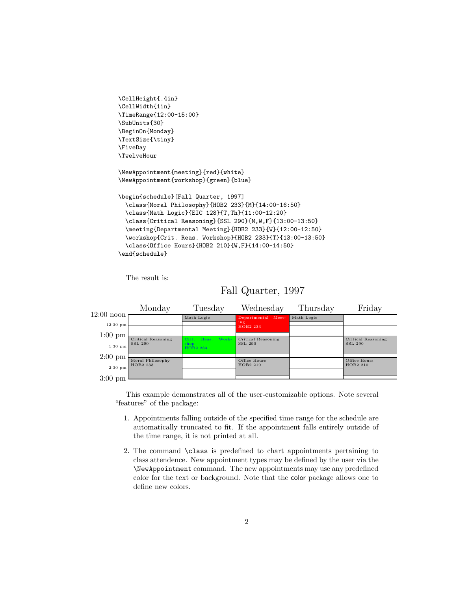```
\CellHeight{.4in}
\CellWidth{1in}
\TimeRange{12:00-15:00}
\SubUnits{30}
\BeginOn{Monday}
\TextSize{\tiny}
\FiveDay
\TwelveHour
\NewAppointment{meeting}{red}{white}
\NewAppointment{workshop}{green}{blue}
\begin{schedule}[Fall Quarter, 1997]
  \class{Moral Philosophy}{HOB2 233}{M}{14:00-16:50}
 \class{Math Logic}{EIC 128}{T,Th}{11:00-12:20}
 \class{Critical Reasoning}{SSL 290}{M,W,F}{13:00-13:50}
 \meeting{Departmental Meeting}{HOB2 233}{W}{12:00-12:50}
 \workshop{Crit. Reas. Workshop}{HOB2 233}{T}{13:00-13:50}
 \class{Office Hours}{HOB2 210}{W,F}{14:00-14:50}
\end{schedule}
```
The result is:

# Fall Quarter, 1997



This example demonstrates all of the user-customizable options. Note several "features" of the package:

- 1. Appointments falling outside of the specified time range for the schedule are automatically truncated to fit. If the appointment falls entirely outside of the time range, it is not printed at all.
- 2. The command \class is predefined to chart appointments pertaining to class attendence. New appointment types may be defined by the user via the \NewAppointment command. The new appointments may use any predefined color for the text or background. Note that the color package allows one to define new colors.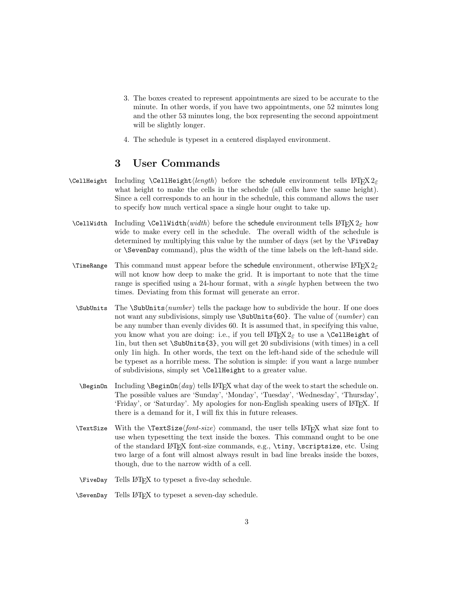- 3. The boxes created to represent appointments are sized to be accurate to the minute. In other words, if you have two appointments, one 52 minutes long and the other 53 minutes long, the box representing the second appointment will be slightly longer.
- 4. The schedule is typeset in a centered displayed environment.

## 3 User Commands

- \CellHeight Including \CellHeight $\langle length \rangle$  before the schedule environment tells LATEX  $2\varepsilon$ what height to make the cells in the schedule (all cells have the same height). Since a cell corresponds to an hour in the schedule, this command allows the user to specify how much vertical space a single hour ought to take up.
- \CellWidth Including \CellWidth\width\ before the schedule environment tells LATEX  $2\varepsilon$  how wide to make every cell in the schedule. The overall width of the schedule is determined by multiplying this value by the number of days (set by the \FiveDay or \SevenDay command), plus the width of the time labels on the left-hand side.
- \TimeRange This command must appear before the schedule environment, otherwise  $L^2F$ FX 2<sub> $\epsilon$ </sub> will not know how deep to make the grid. It is important to note that the time range is specified using a 24-hour format, with a single hyphen between the two times. Deviating from this format will generate an error.
- $\SubUnits$  The  $\SubUnits(number)$  tells the package how to subdivide the hour. If one does not want any subdivisions, simply use  $\SubUnits{60}$ . The value of  $\langle number \rangle$  can be any number than evenly divides 60. It is assumed that, in specifying this value, you know what you are doing: i.e., if you tell  $\text{LATEX} 2<sub>\epsilon</sub>$  to use a **\CellHeight** of 1in, but then set \SubUnits{3}, you will get 20 subdivisions (with times) in a cell only 1in high. In other words, the text on the left-hand side of the schedule will be typeset as a horrible mess. The solution is simple: if you want a large number of subdivisions, simply set \CellHeight to a greater value.
- $\begin{array}{ll} \n\begin{array}{ll}\n\text{NeginOn} \end{array} \end{array}$  The schedule online  $\delta$  and  $\delta$  is LATEX what day of the week to start the schedule on. The possible values are 'Sunday', 'Monday', 'Tuesday', 'Wednesday', 'Thursday', 'Friday', or 'Saturday'. My apologies for non-English speaking users of LATEX. If there is a demand for it, I will fix this in future releases.
- $\text{TextSize}$  With the  $\text{Size}(font-size)$  command, the user tells LATEX what size font to use when typesetting the text inside the boxes. This command ought to be one of the standard LATEX font-size commands, e.g., \tiny, \scriptsize, etc. Using two large of a font will almost always result in bad line breaks inside the boxes, though, due to the narrow width of a cell.
- \FiveDay Tells LATEX to typeset a five-day schedule.
- \SevenDay Tells LATEX to typeset a seven-day schedule.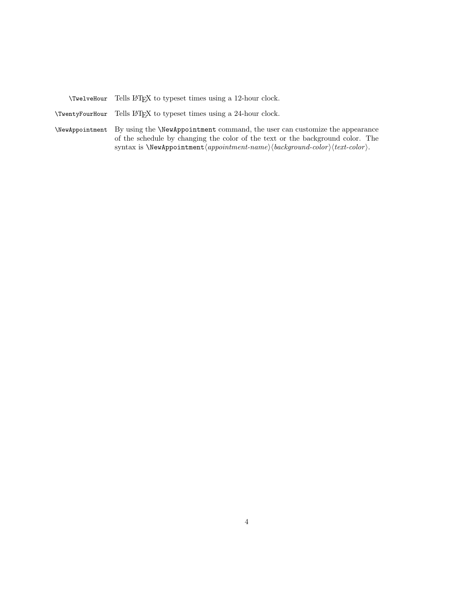\TwelveHour Tells LATEX to typeset times using a 12-hour clock.

\TwentyFourHour Tells LATEX to typeset times using a 24-hour clock.

\NewAppointment By using the \NewAppointment command, the user can customize the appearance of the schedule by changing the color of the text or the background color. The syntax is  $\W$ ewAppointment $\langle$ appointment-name $\rangle$  $\langle$ background-color $\rangle$  $text-color$ ).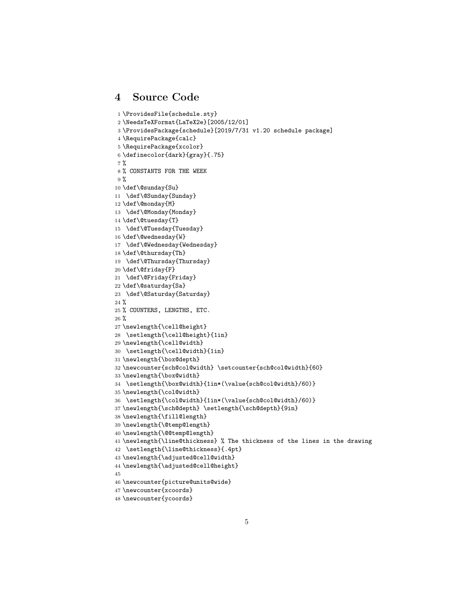# 4 Source Code

```
1 \ProvidesFile{schedule.sty}
2 \NeedsTeXFormat{LaTeX2e}[2005/12/01]
3 \ProvidesPackage{schedule}[2019/7/31 v1.20 schedule package]
4 \RequirePackage{calc}
5 \RequirePackage{xcolor}
6 \definecolor{dark}{gray}{.75}
7 %
8 % CONSTANTS FOR THE WEEK
9 %
10 \def\@sunday{Su}
11 \def\@Sunday{Sunday}
12 \def\@monday{M}
13 \def\@Monday{Monday}
14 \def\@tuesday{T}
15 \def\@Tuesday{Tuesday}
16 \def\@wednesday{W}
17 \def\@Wednesday{Wednesday}
18 \def\@thursday{Th}
19 \def\@Thursday{Thursday}
20 \def\@friday{F}
21 \def\@Friday{Friday}
22 \def\@saturday{Sa}
23 \def\@Saturday{Saturday}
24 \%25 % COUNTERS, LENGTHS, ETC.
26 %
27 \newlength{\cell@height}
28 \setlength{\cell@height}{1in}
29 \newlength{\cell@width}
30 \setlength{\cell@width}{1in}
31 \newlength{\box@depth}
32 \newcounter{sch@col@width} \setcounter{sch@col@width}{60}
33 \newlength{\box@width}
34 \setlength{\box@width}{1in*(\value{sch@col@width}/60)}
35 \newlength{\col@width}
36 \setlength{\col@width}{1in*(\value{sch@col@width}/60)}
37 \newlength{\sch@depth} \setlength{\sch@depth}{9in}
38 \newlength{\fill@length}
39 \newlength{\@temp@length}
40 \newlength{\@@temp@length}
41 \newlength{\line@thickness} % The thickness of the lines in the drawing
42 \setlength{\line@thickness}{.4pt}
43 \newlength{\adjusted@cell@width}
44 \newlength{\adjusted@cell@height}
45
46 \newcounter{picture@units@wide}
47 \newcounter{xcoords}
48 \newcounter{ycoords}
```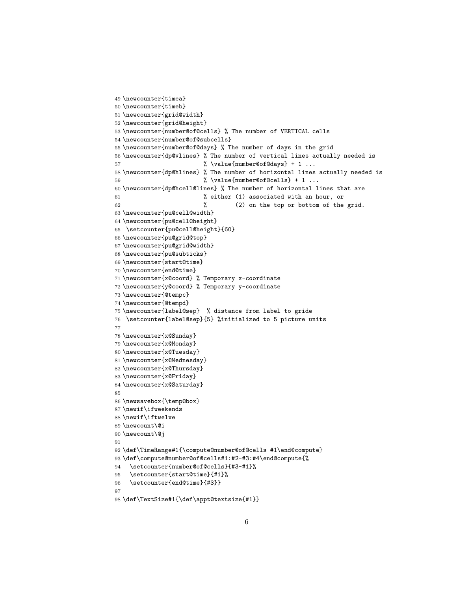```
49 \newcounter{timea}
50 \newcounter{timeb}
51 \newcounter{grid@width}
52 \newcounter{grid@height}
53 \newcounter{number@of@cells} % The number of VERTICAL cells
54 \newcounter{number@of@subcells}
55 \newcounter{number@of@days} % The number of days in the grid
56 \newcounter{dp@vlines} % The number of vertical lines actually needed is
57 % \value{number@of@days} + 1 ...
58 \newcounter{dp@hlines} % The number of horizontal lines actually needed is
59 % \value{number@of@cells} + 1 ...
60 \newcounter{dp@hcell@lines} % The number of horizontal lines that are
61 % either (1) associated with an hour, or
62 % (2) on the top or bottom of the grid.
63 \newcounter{pu@cell@width}
64 \newcounter{pu@cell@height}
65 \setcounter{pu@cell@height}{60}
66 \newcounter{pu@grid@top}
67 \newcounter{pu@grid@width}
68 \newcounter{pu@subticks}
69 \newcounter{start@time}
70 \newcounter{end@time}
71 \newcounter{x@coord} % Temporary x-coordinate
72 \newcounter{y@coord} % Temporary y-coordinate
73 \newcounter{@tempc}
74 \newcounter{@tempd}
75 \newcounter{label@sep} % distance from label to gride
76 \setcounter{label@sep}{5} %initialized to 5 picture units
77
78 \newcounter{x@Sunday}
79 \newcounter{x@Monday}
80 \newcounter{x@Tuesday}
81 \newcounter{x@Wednesday}
82 \newcounter{x@Thursday}
83 \newcounter{x@Friday}
84 \newcounter{x@Saturday}
85
86 \newsavebox{\temp@box}
87 \newif\ifweekends
88 \newif\iftwelve
89 \newcount\@i
90 \newcount\@j
91
92 \def\TimeRange#1{\compute@number@of@cells #1\end@compute}
93 \def\compute@number@of@cells#1:#2-#3:#4\end@compute{%
94 \setcounter{number@of@cells}{#3-#1}%
95 \setcounter{start@time}{#1}%
96 \setcounter{end@time}{#3}}
97
98 \def\TextSize#1{\def\appt@textsize{#1}}
```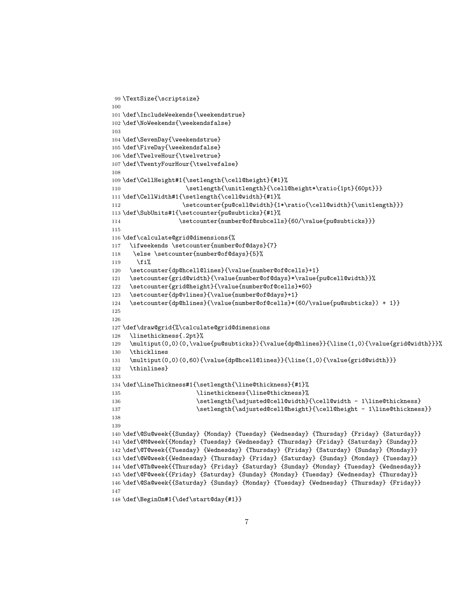```
99 \TextSize{\scriptsize}
100
101 \def\IncludeWeekends{\weekendstrue}
102 \def\NoWeekends{\weekendsfalse}
103
104 \def\SevenDay{\weekendstrue}
105 \def\FiveDay{\weekendsfalse}
106 \def\TwelveHour{\twelvetrue}
107 \def\TwentyFourHour{\twelvefalse}
108
109 \def\CellHeight#1{\setlength{\cell@height}{#1}%
110 \setlength{\unitlength}{\cell@height*\ratio{1pt}{60pt}}}
111 \def\CellWidth#1{\setlength{\cell@width}{#1}%
112 \setcounter{pu@cell@width}{1*\ratio{\cell@width}{\unitlength}}}
113 \def\SubUnits#1{\setcounter{pu@subticks}{#1}%
114 \setcounter{number@of@subcells}{60/\value{pu@subticks}}}
115
116 \def\calculate@grid@dimensions{%
117 \ifweekends \setcounter{number@of@days}{7}
118 \else \setcounter{number@of@days}{5}%
119 \fi%
120 \setcounter{dp@hcell@lines}{\value{number@of@cells}+1}
121 \setcounter{grid@width}{\value{number@of@days}*\value{pu@cell@width}}%
122 \setcounter{grid@height}{\value{number@of@cells}*60}
123 \setcounter{dp@vlines}{\value{number@of@days}+1}
124 \setcounter{dp@hlines}{\value{number@of@cells}*(60/\value{pu@subticks}) + 1}}
125
126
127 \def\draw@grid{%\calculate@grid@dimensions
128 \linethickness{.2pt}%
129 \multiput(0,0)(0,\value{pu@subticks}){\value{dp@hlines}}{\line(1,0){\value{grid@width}}}%
130 \thicklines
131 \multiput(0,0)(0,60){\value{dp@hcell@lines}}{\line(1,0){\value{grid@width}}}
132 \thinlines}
133
134 \def\LineThickness#1{\setlength{\line@thickness}{#1}%
135 \linethickness{\line@thickness}%
136 \setlength{\adjusted@cell@width}{\cell@width - 1\line@thickness}
137 \setlength{\adjusted@cell@height}{\cell@height - 1\line@thickness}}
138
139
140 \def\@Su@week{{Sunday} {Monday} {Tuesday} {Wednesday} {Thursday} {Friday} {Saturday}}
141 \def\@M@week{{Monday} {Tuesday} {Wednesday} {Thursday} {Friday} {Saturday} {Sunday}}
142 \def\@T@week{{Tuesday} {Wednesday} {Thursday} {Friday} {Saturday} {Sunday} {Monday}}
143 \def\@W@week{{Wednesday} {Thursday} {Friday} {Saturday} {Sunday} {Monday} {Tuesday}}
144 \def\@Th@week{{Thursday} {Friday} {Saturday} {Sunday} {Monday} {Tuesday} {Wednesday}}
145 \def\@F@week{{Friday} {Saturday} {Sunday} {Monday} {Tuesday} {Wednesday} {Thursday}}
146 \def\@Sa@week{{Saturday} {Sunday} {Monday} {Tuesday} {Wednesday} {Thursday} {Friday}}
147
148 \def\BeginOn#1{\def\start@day{#1}}
```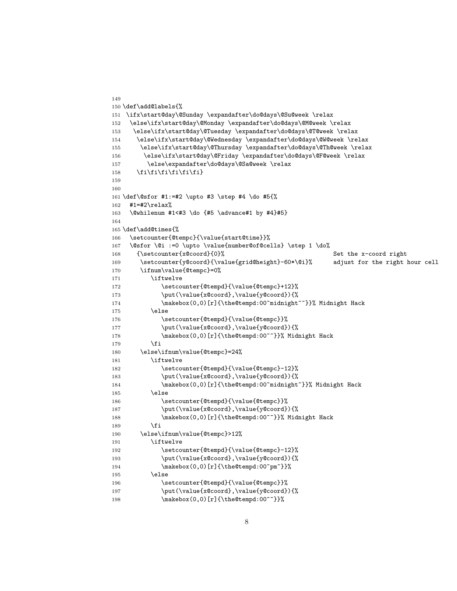```
150 \def\add@labels{%
151 \ifx\start@day\@Sunday \expandafter\do@days\@Su@week \relax
152 \else\ifx\start@day\@Monday \expandafter\do@days\@M@week \relax
153 \else\ifx\start@day\@Tuesday \expandafter\do@days\@T@week \relax
154 \else\ifx\start@day\@Wednesday \expandafter\do@days\@W@week \relax
155 \else\ifx\start@day\@Thursday \expandafter\do@days\@Th@week \relax
156 \else\ifx\start@day\@Friday \expandafter\do@days\@F@week \relax
157 \else\expandafter\do@days\@Sa@week \relax
158 \fi\fi\fi\fi\fi\fi}
159
160
161 \def\@sfor #1:=#2 \upto #3 \step #4 \do #5{%
162 #1=#2\relax%
163 \@whilenum #1<#3 \do {#5 \advance#1 by #4}#5}
164
165 \def\add@times{%
166 \setcounter{@tempc}{\value{start@time}}%
167 \@sfor \@i :=0 \upto \value{number@of@cells} \step 1 \do%
168 {\setcounter{x@coord}{0}% Set the x-coord right
169 \setcounter{y@coord}{\value{grid@height}-60*\@i}% adjust for the right hour cell
170 \ifnum\value{@tempc}=0%
171 \iftwelve
172 \setcounter{@tempd}{\value{@tempc}+12}%
173 \put(\value{x@coord},\value{y@coord}){%
174 \makebox(0,0)[r]{\the@tempd:00~midnight~~}}% Midnight Hack
175 \else
176 \setcounter{@tempd}{\value{@tempc}}%
177 \put(\value{x@coord},\value{y@coord}){%
178 \makebox(0,0)[r]{\the@tempd:00~~}}% Midnight Hack
179 \fi
180 \else\ifnum\value{@tempc}=24%
181 \iftwelve
182 \setcounter{@tempd}{\value{@tempc}-12}%
183 \put(\value{x@coord},\value{y@coord}){%
184 \makebox(0,0)[r]{\the@tempd:00~midnight~}}% Midnight Hack
185 \else
186 \setcounter{@tempd}{\value{@tempc}}%
187 \put(\value{x@coord},\value{y@coord}){%
188 \makebox(0,0)[r]{\the@tempd:00~~}}% Midnight Hack
189 \fi
190 \else\ifnum\value{@tempc}>12%
191 \iftwelve
192 \setcounter{@tempd}{\value{@tempc}-12}%
193 \put(\value{x@coord},\value{y@coord}){%
194 \makebox(0,0)[r]{\the@tempd:00~pm~}}%
195 \else
196 \setcounter{@tempd}{\value{@tempc}}%
197 \put(\value{x@coord},\value{y@coord}){%
198 \makebox(0,0)[r]{\the@tempd:00~~}}%
```
149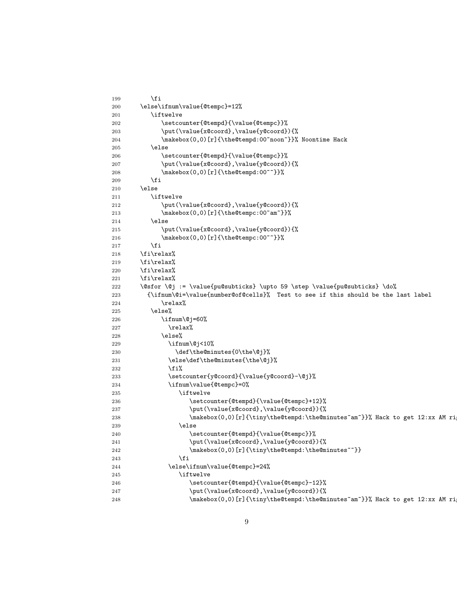| 199        | \fi                                                                              |
|------------|----------------------------------------------------------------------------------|
| 200        | \else\ifnum\value{@tempc}=12%                                                    |
| 201        | \iftwelve                                                                        |
| 202        | \setcounter{@tempd}{\value{@tempc}}%                                             |
| 203        | \put(\value{x@coord},\value{y@coord}){%                                          |
| 204        | \makebox(0,0)[r]{\the@tempd:00~noon~}}% Noontime Hack                            |
| 205        | \else                                                                            |
| 206        | \setcounter{@tempd}{\value{@tempc}}%                                             |
| 207        | \put(\value{x@coord},\value{y@coord}){%                                          |
| 208        | \makebox(0,0)[r]{\the@tempd:00~~}}%                                              |
| 209        | \fi                                                                              |
| 210        | \else                                                                            |
| 211        | \iftwelve                                                                        |
| 212        | \put(\value{x@coord},\value{y@coord}){%                                          |
| 213        | \makebox(0,0)[r]{\the@tempc:00~am~}}%                                            |
| 214        | \else                                                                            |
| 215        | \put(\value{x@coord},\value{y@coord}){%                                          |
| 216        | \makebox(0,0)[r]{\the@tempc:00~~}}%                                              |
| 217        | \fi                                                                              |
| 218        | \fi\relax%                                                                       |
| 219        | \fi\relax%                                                                       |
| 220        | \fi\relax%                                                                       |
| 221        | \fi\relax%                                                                       |
| 222        | \@sfor \@j := \value{pu@subticks} \upto 59 \step \value{pu@subticks} \do%        |
| 223        | {\ifnum\@i=\value{number@of@cells}% Test to see if this should be the last label |
| 224        | \relax%                                                                          |
| 225        | \else%                                                                           |
| 226        | \ifnum\@j=60%                                                                    |
| 227        | \relax%                                                                          |
| 228        | \else%                                                                           |
| 229        | $\binom{0}{3}$                                                                   |
| 230        | \def\the@minutes{0\the\@j}%                                                      |
| 231        | \else\def\the@minutes{\the\@j}%                                                  |
| 232        | \fi%                                                                             |
| 233        | \setcounter{y@coord}{\value{y@coord}-\@j}%                                       |
| 234        | \ifnum\value{@tempc}=0%                                                          |
| 235        | \iftwelve                                                                        |
|            | \setcounter{@tempd}{\value{@tempc}+12}%                                          |
| 236        | \put(\value{x@coord},\value{y@coord}){%                                          |
| 237<br>238 | \makebox(0,0)[r]{\tiny\the@tempd:\the@minutes~am~}}% Hack to get 12:xx AM ri     |
| 239        | \else                                                                            |
| 240        | \setcounter{@tempd}{\value{@tempc}}%                                             |
| 241        | \put(\value{x@coord},\value{y@coord}){%                                          |
| 242        | \makebox(0,0)[r]{\tiny\the@tempd:\the@minutes~~}}                                |
| 243        | \fi                                                                              |
| 244        | \else\ifnum\value{@tempc}=24%                                                    |
|            | \iftwelve                                                                        |
| 245        | \setcounter{@tempd}{\value{@tempc}-12}%                                          |
| 246        | \put(\value{x@coord},\value{y@coord}){%                                          |
| 247        | \makebox(0,0)[r]{\tiny\the@tempd:\the@minutes~am~}}% Hack to get 12:xx AM ri     |
| 248        |                                                                                  |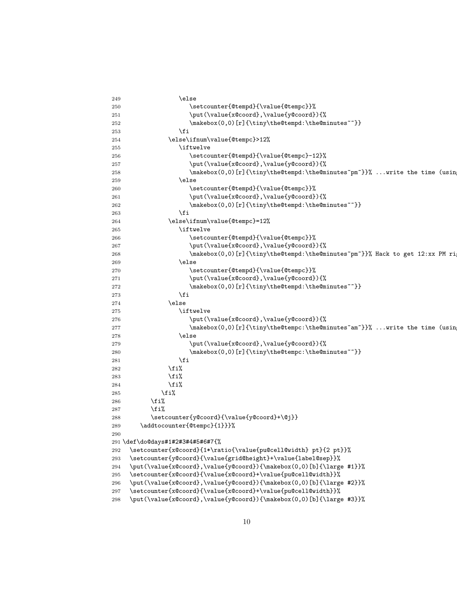| 249 | \else                                                                        |
|-----|------------------------------------------------------------------------------|
| 250 | \setcounter{@tempd}{\value{@tempc}}%                                         |
| 251 | \put(\value{x@coord},\value{y@coord}){%                                      |
| 252 | \makebox(0,0)[r]{\tiny\the@tempd:\the@minutes~~}}                            |
| 253 | \fi                                                                          |
| 254 | \else\ifnum\value{@tempc}>12%                                                |
| 255 | \iftwelve                                                                    |
| 256 | \setcounter{@tempd}{\value{@tempc}-12}%                                      |
| 257 | \put(\value{x@coord},\value{y@coord}){%                                      |
| 258 | \makebox(0,0)[r]{\tiny\the@tempd:\the@minutes~pm~}}% write the time (usin    |
| 259 | \else                                                                        |
| 260 | \setcounter{@tempd}{\value{@tempc}}%                                         |
| 261 | \put(\value{x@coord},\value{y@coord}){%                                      |
| 262 | \makebox(0,0)[r]{\tiny\the@tempd:\the@minutes~~}}                            |
| 263 | \fi                                                                          |
| 264 | \else\ifnum\value{@tempc}=12%                                                |
| 265 | \iftwelve                                                                    |
| 266 | \setcounter{@tempd}{\value{@tempc}}%                                         |
| 267 | \put(\value{x@coord},\value{y@coord}){%                                      |
| 268 | \makebox(0,0)[r]{\tiny\the@tempd:\the@minutes~pm~}}% Hack to get 12:xx PM ri |
| 269 | \else                                                                        |
| 270 | \setcounter{@tempd}{\value{@tempc}}%                                         |
| 271 | \put(\value{x@coord},\value{y@coord}){%                                      |
| 272 | \makebox(0,0)[r]{\tiny\the@tempd:\the@minutes~~}}                            |
| 273 | \fi                                                                          |
| 274 | \else                                                                        |
| 275 | \iftwelve                                                                    |
| 276 | \put(\value{x@coord},\value{y@coord}){%                                      |
| 277 | \makebox(0,0)[r]{\tiny\the@tempc:\the@minutes~am~}}% write the time (usin    |
| 278 | \else                                                                        |
| 279 | \put(\value{x@coord},\value{y@coord}){%                                      |
| 280 | \makebox(0,0)[r]{\tiny\the@tempc:\the@minutes~~}}                            |
| 281 | \fi                                                                          |
| 282 | \fi%                                                                         |
| 283 | \fi%                                                                         |
| 284 | \fi%                                                                         |
| 285 | \fi%                                                                         |
| 286 | \fi%                                                                         |
| 287 | \fi%                                                                         |
| 288 | \setcounter{y@coord}{\value{y@coord}+\@j}}                                   |
| 289 | \addtocounter{@tempc}{1}}}%                                                  |
| 290 |                                                                              |
|     | 291 \def\do@days#1#2#3#4#5#6#7{%                                             |
| 292 | \setcounter{x@coord}{1*\ratio{\value{pu@cell@width} pt}{2 pt}}%              |
| 293 | \setcounter{y@coord}{\value{grid@height}+\value{label@sep}}%                 |
| 294 | \put(\value{x@coord},\value{y@coord}){\makebox(0,0)[b]{\large #1}}%          |
| 295 | \setcounter{x@coord}{\value{x@coord}+\value{pu@cell@width}}%                 |
| 296 | \put(\value{x@coord},\value{y@coord}){\makebox(0,0)[b]{\large #2}}%          |
| 297 | \setcounter{x@coord}{\value{x@coord}+\value{pu@cell@width}}%                 |
| 298 | \put(\value{x@coord},\value{y@coord}){\makebox(0,0)[b]{\large #3}}%          |
|     |                                                                              |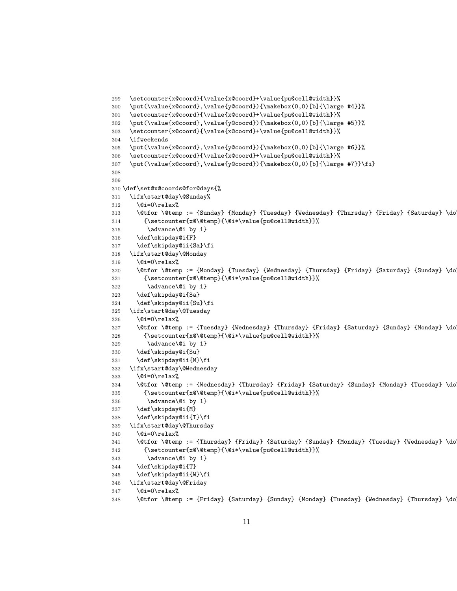```
299 \setcounter{x@coord}{\value{x@coord}+\value{pu@cell@width}}%
300 \put(\value{x@coord},\value{y@coord}){\makebox(0,0)[b]{\large #4}}%
301 \setcounter{x@coord}{\value{x@coord}+\value{pu@cell@width}}%
302 \put(\value{x@coord},\value{y@coord}){\makebox(0,0)[b]{\large #5}}%
303 \setcounter{x@coord}{\value{x@coord}+\value{pu@cell@width}}%
304 \ifweekends
305 \put(\value{x@coord},\value{y@coord}){\makebox(0,0)[b]{\large #6}}%
306 \setcounter{x@coord}{\value{x@coord}+\value{pu@cell@width}}%
307 \put(\value{x@coord},\value{y@coord}){\makebox(0,0)[b]{\large #7}}\fi}
308
309
310 \def\set@x@coords@for@days{%
311 \ifx\start@day\@Sunday%
312 \qquad \text{Qi=0\relax\%}313 \@tfor \@temp := {Sunday} {Monday} {Tuesday} {Wednesday} {Thursday} {Friday} {Saturday} \do
314 {\setcounter{x@\@temp}{\@i*\value{pu@cell@width}}%
315 \advance\@i by 1}
316 \def\skipday@i{F}
317 \def\skipday@ii{Sa}\fi
318 \ifx\start@day\@Monday
319 \qquad \text{Qi=0\relax\%}320 \\tfor \@temp := {Monday} {Tuesday} {Wednesday} {Thursday} {Friday} {Saturday} {Sunday} \do
321 {\setcounter{x@\@temp}{\@i*\value{pu@cell@width}}%
322 \advance\@i by 1}
323 \def\skipday@i{Sa}
324 \def\skipday@ii{Su}\fi
325 \ifx\start@day\@Tuesday
326 \@i=0\relax\@i=0\relax\@i=0\relax\@i=0\relax\@i=0\relax\@i=0\relax\@i=0\relax\@i=0\relax\@i=0\relax\@i=0\relax\@i=0\relax\@i=0\relax\@i=0\relax\@i=0\relax\@i=0\relax\@i=0\relax\@i=0\relax\@i=0\relax\@i=0\relax\@i=0\relax\@i=0\relax\@i=0\relax\@i=0\relax\@i=0\relax\327 \@tfor \@temp := {Tuesday} {Wednesday} {Thursday} {Friday} {Saturday} {Sunday} {Monday} \do
328 {\setcounter{x@\@temp}{\@i*\value{pu@cell@width}}%
329 \advance\@i by 1}
330 \def\skipday@i{Su}
331 \def\skipday@ii{M}\fi
332 \ifx\start@day\@Wednesday
333 \text{Qi}=0\text{relax}\text{?}334 \@tfor \@temp := {Wednesday} {Thursday} {Friday} {Saturday} {Sunday} {Monday} {Tuesday} \do
335 {\setcounter{x@\@temp}{\@i*\value{pu@cell@width}}%
336 \advance\@i by 1}
337 \def\skipday@i{M}
338 \def\skipday@ii{T}\fi
339 \ifx\start@day\@Thursday
340 \qquad \text{Qi=0\relax\%}341 \@tfor \@temp := {Thursday} {Friday} {Saturday} {Sunday} {Monday} {Tuesday} {Wednesday} \do
342 {\setcounter{x@\@temp}{\@i*\value{pu@cell@width}}%
343 \advance\@i by 1}
344 \def\skipday@i{T}
345 \def\skipday@ii{W}\fi
346 \ifx\start@day\@Friday
347 \qquad \text{Qi=0\relax\%}348 \@tfor \@temp := {Friday} {Saturday} {Sunday} {Monday} {Tuesday} {Wednesday} {Thursday} \do
```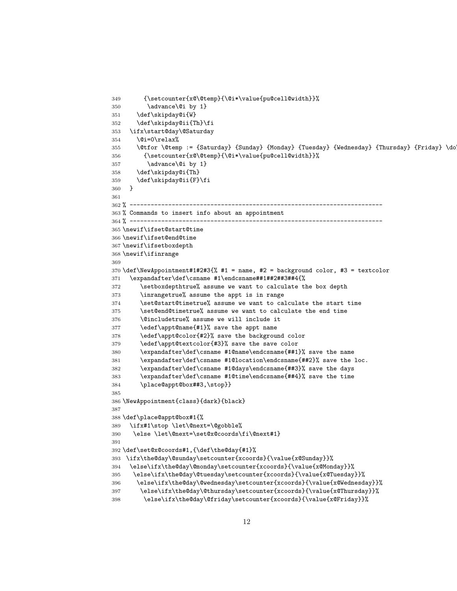```
349 {\setcounter{x@\@temp}{\@i*\value{pu@cell@width}}%
350 \advance\@i by 1}
351 \def\skipday@i{W}
352 \def\skipday@ii{Th}\fi
353 \ifx\start@day\@Saturday
354 \qquad \text{Qi=0\relax\%}355 \@tfor \@temp := {Saturday} {Sunday} {Monday} {Tuesday} {Wednesday} {Thursday} {Friday} \do
356 {\setcounter{x@\@temp}{\@i*\value{pu@cell@width}}%
357 \advance\@i by 1}
358 \def\skipday@i{Th}
359 \def\skipday@ii{F}\fi
360 }
361
362 % ------------------------------------------------------------------------
363 % Commands to insert info about an appointment
364 % ------------------------------------------------------------------------
365 \newif\ifset@start@time
366 \newif\ifset@end@time
367 \newif\ifsetboxdepth
368 \newif\ifinrange
369
370 \def\NewAppointment#1#2#3{% #1 = name, #2 = background color, #3 = textcolor
371 \expandafter\def\csname #1\endcsname##1##2##3##4{%
372 \setboxdepthtrue% assume we want to calculate the box depth
373 \inrangetrue% assume the appt is in range
374 \set@start@timetrue% assume we want to calculate the start time
375 \set@end@timetrue% assume we want to calculate the end time
376 \@includetrue% assume we will include it
377 \edef\appt@name{#1}% save the appt name
378 \edef\appt@color{#2}% save the background color
379 \edef\appt@textcolor{#3}% save the save color
380 \expandafter\def\csname #1@name\endcsname{##1}% save the name
381 \expandafter\def\csname #1@location\endcsname{##2}% save the loc.
382 \expandafter\def\csname #1@days\endcsname{##3}% save the days
383 \expandafter\def\csname #1@time\endcsname{##4}% save the time
384 \place@appt@box##3,\stop}}
385
386 \NewAppointment{class}{dark}{black}
387
388 \def\place@appt@box#1{%
389 \ifx#1\stop \let\@next=\@gobble%
390 \else \let\@next=\set@x@coords\fi\@next#1}
391
392 \def\set@x@coords#1,{\def\the@day{#1}%
393 \ifx\the@day\@sunday\setcounter{xcoords}{\value{x@Sunday}}%
394 \else\ifx\the@day\@monday\setcounter{xcoords}{\value{x@Monday}}%
395 \else\ifx\the@day\@tuesday\setcounter{xcoords}{\value{x@Tuesday}}%
396 \else\ifx\the@day\@wednesday\setcounter{xcoords}{\value{x@Wednesday}}%
397 \else\ifx\the@day\@thursday\setcounter{xcoords}{\value{x@Thursday}}%
398 \else\ifx\the@day\@friday\setcounter{xcoords}{\value{x@Friday}}%
```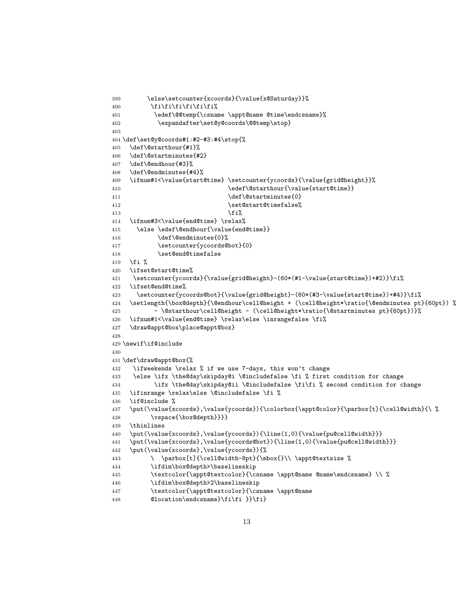```
399 \else\setcounter{xcoords}{\value{x@Saturday}}%
400 \if{if}{fi\fi\fi\fi\fi\fi\fi401 \edef\@@temp{\csname \appt@name @time\endcsname}%
402 \expandafter\set@y@coords\@@temp\stop}
403
404 \def\set@y@coords#1:#2-#3:#4\stop{%
405 \def\@starthour{#1}%
406 \def\@startminutes{#2}
407 \def\@endhour{#3}%
408 \def\@endminutes{#4}%
409 \ifnum#1<\value{start@time} \setcounter{ycoords}{\value{grid@height}}%
410 \edef\@starthour{\value{start@time}}
411 \def\@startminutes{0}
412 \set@start@timefalse%
413 \frac{13}{ }414 \ifnum#3<\value{end@time} \relax%
415 \else \edef\@endhour{\value{end@time}}
416 \def\@endminutes{0}%
417 \setcounter{ycoords@bot}{0}
418 \set@end@timefalse
419 \fi %
420 \ifset@start@time%
421 \setcounter{ycoords}{\value{grid@height}-(60*(#1-\value{start@time})+#2)}\fi%
422 \ifset@end@time%
423 \setcounter{ycoords@bot}{\value{grid@height}-(60*(#3-\value{start@time})+#4)}\fi%
424 \setlength{\box@depth}{\@endhour\cell@height + (\cell@height*\ratio{\@endminutes pt}{60pt}) %
425 - \@starthour\cell@height - (\cell@height*\ratio{\@startminutes pt}{60pt})}%
426 \ifnum#1<\value{end@time} \relax\else \inrangefalse \fi%
427 \draw@appt@box\place@appt@box}
428
429 \newif\if@include
430
431 \def\draw@appt@box{%
432 \ifweekends \relax % if we use 7-days, this won't change
433 \else \ifx \the@day\skipday@i \@includefalse \fi % first condition for change
434 \ifx \the@day\skipday@ii \@includefalse \fi\fi % second condition for change
435 \ifinrange \relax\else \@includefalse \fi %
436 \if@include %
437 \put(\value{xcoords},\value{ycoords}){\colorbox{\appt@color}{\parbox[t]{\cell@width}{\ %
438 \vspace{\box@depth}}}}
439 \thinlines
440 \put(\value{xcoords},\value{ycoords}){\line(1,0){\value{pu@cell@width}}}
441 \put(\value{xcoords},\value{ycoords@bot}){\line(1,0){\value{pu@cell@width}}}
442 \put(\value{xcoords},\value{ycoords}){%
443 \ \parbox[t]{\cell@width-8pt}{\mbox{}\\ \appt@textsize %
444 \ifdim\box@depth>\baselineskip
445 \textcolor{\appt@textcolor}{\csname \appt@name @name\endcsname} \\ %
446 \ifdim\box@depth>2\baselineskip
447 \textcolor{\appt@textcolor}{\csname \appt@name
448 @location\endcsname}\fi\fi }}\fi}
```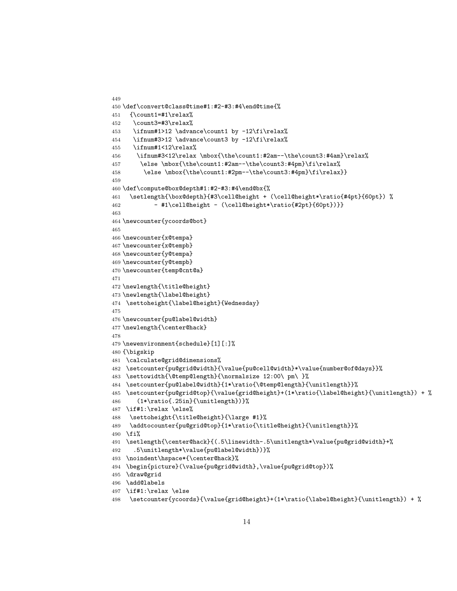```
449
450 \def\convert@class@time#1:#2-#3:#4\end@time{%
451 {\count1=#1\relax%
452 \count3=#3\relax%
453 \ifnum#1>12 \advance\count1 by -12\fi\relax%
454 \ifnum#3>12 \advance\count3 by -12\fi\relax%
455 \ifnum#1<12\relax%
456 \ifnum#3<12\relax \mbox{\the\count1:#2am--\the\count3:#4am}\relax%
457 \else \mbox{\the\count1:#2am--\the\count3:#4pm}\fi\relax%
458 \else \mbox{\the\count1:#2pm--\the\count3:#4pm}\fi\relax}}
459
460 \def\compute@box@depth#1:#2-#3:#4\end@bx{%
461 \setlength{\box@depth}{#3\cell@height + (\cell@height*\ratio{#4pt}{60pt}) %
462 - #1\cell@height - (\cell@height*\ratio{#2pt}{60pt})}}
463
464 \newcounter{ycoords@bot}
465
466 \newcounter{x@tempa}
467 \newcounter{x@tempb}
468 \newcounter{y@tempa}
469 \newcounter{y@tempb}
470 \newcounter{temp@cnt@a}
471
472 \newlength{\title@height}
473 \newlength{\label@height}
474 \settoheight{\label@height}{Wednesday}
475
476 \newcounter{pu@label@width}
477 \newlength{\center@hack}
478
479 \newenvironment{schedule}[1][:]%
480 {\bigskip
481 \calculate@grid@dimensions%
482 \setcounter{pu@grid@width}{\value{pu@cell@width}*\value{number@of@days}}%
483 \settowidth{\@temp@length}{\normalsize 12:00\ pm\ }%
484 \setcounter{pu@label@width}{1*\ratio{\@temp@length}{\unitlength}}%
485 \setcounter{pu@grid@top}{\value{grid@height}+(1*\ratio{\label@height}{\unitlength}) + %
486 (1*\ratio{.25in}{\unitlength})}%
487 \if#1:\relax \else%
488 \settoheight{\title@height}{\large #1}%
489 \addtocounter{pu@grid@top}{1*\ratio{\title@height}{\unitlength}}%
490 \fi%
491 \setlength{\center@hack}{(.5\linewidth-.5\unitlength*\value{pu@grid@width}+%
492 .5\unitlength*\value{pu@label@width})}%
493 \noindent\hspace*{\center@hack}%
494 \begin{picture}(\value{pu@grid@width},\value{pu@grid@top})%
495 \draw@grid
496 \add@labels
497 \if#1:\relax \else
498 \setcounter{ycoords}{\value{grid@height}+(1*\ratio{\label@height}{\unitlength}) + %
```

```
14
```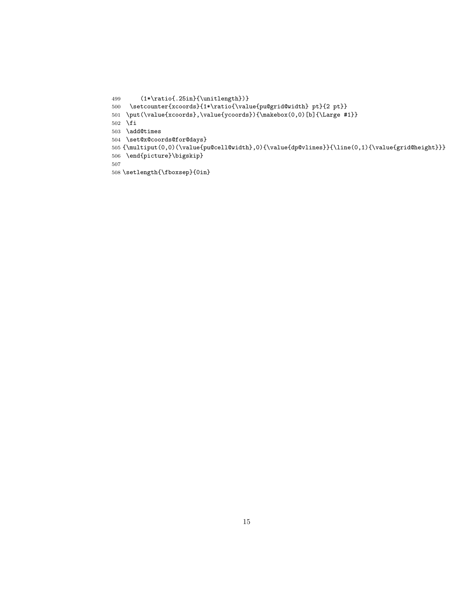```
499 (1*\ratio{.25in}{\unitlength})}
500 \setcounter{xcoords}{1*\ratio{\value{pu@grid@width} pt}{2 pt}}
501 \put(\value{xcoords},\value{ycoords}){\makebox(0,0)[b]{\Large #1}}
502 \fi
503 \add@times
504 \set@x@coords@for@days}
505 {\multiput(0,0)(\value{pu@cell@width},0){\value{dp@vlines}}{\line(0,1){\value{grid@height}}}
506 \end{picture}\bigskip}
507
508 \setlength{\fboxsep}{0in}
```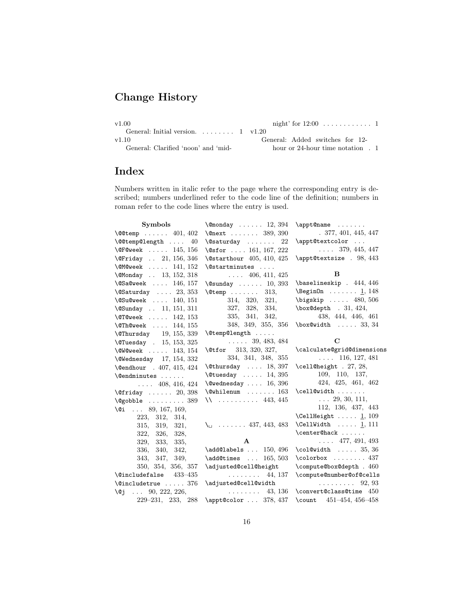# Change History

| v1.00                                      |                                        |
|--------------------------------------------|----------------------------------------|
| General: Initial version $1 \text{ v1.20}$ |                                        |
| v1.10                                      | General: Added switches for 12-        |
| General: Clarified 'noon' and 'mid-        | hour or 24-hour time notation $\,$ . 1 |

# Index

Numbers written in italic refer to the page where the corresponding entry is described; numbers underlined refer to the code line of the definition; numbers in roman refer to the code lines where the entry is used.

| Symbols                                                  | $\Gamma$ 12, 394                            | \appt@name                                |
|----------------------------------------------------------|---------------------------------------------|-------------------------------------------|
| $\sqrt{$ COtemp $401, 402$                               | $\{\texttt{Check} \dots \dots \ 389, 390\}$ | .377, 401, 445, 447                       |
| $\setminus$ @@temp@length  40                            | $\sqrt{Q}$ saturday<br>22                   | \appt@textcolor                           |
| $\sqrt{9}$ FCweek  145, 156                              | \@sfor  161, 167, 222                       | $\ldots$ 379, 445, 447                    |
| \@Friday  21, 156, 346                                   | \@starthour 405, 410, 425                   | \appt@textsize . 98, 443                  |
| $\text{OMOweek}$ 141, 152                                | \@startminutes                              |                                           |
| \@Monday  13, 152, 318                                   | $\ldots$ 406, 411, 425                      | B                                         |
| $\text{QSaQweek}$ 146, 157                               | $\text{Qsumday} \dots \dots \quad 10, 393$  | $\b{baselineskip}$ . 444, 446             |
| $\text{QSaturday} \dots 23, 353$                         | $\text{Ctemp}$<br>313,                      | $\begin{bmatrix} 1, & 148 \end{bmatrix}$  |
| $\sqrt{Q}$ Su@week  140, 151                             | 314, 320,<br>321.                           | \bigskip  480, 506                        |
| \@Sunday  11, 151, 311                                   | 327, 328, 334,                              | $\text{box@depth}$ . 31, 424,             |
| $\degree$ TCweek  142, 153                               | 335, 341, 342,                              | 438, 444, 446, 461                        |
| $\Omega$ 144, 155                                        | 348, 349, 355, 356                          | $\text{box@width} \dots$ 33, 34           |
| \@Thursday 19, 155, 339                                  | \@temp@length                               |                                           |
| \@Tuesday . 15, 153, 325                                 | $\ldots$ 39, 483, 484                       | $\mathbf C$                               |
| $\text{WQweek}$ 143, 154                                 | $\text{\textbackslash} 313, 320, 327,$      | \calculate@grid@dimensions                |
| $\text{Wednesday}$ 17, 154, 332                          | 334, 341, 348, 355                          | $\ldots$ 116, 127, 481                    |
| \@endhour . 407, 415, 424                                | $\text{Otherwise} \dots 18, 397$            | $\cell@height$ . 27, 28,                  |
| \@endminutes                                             | $\text{Outuseday} \dots 14, 395$            | 109, 110, 137,                            |
| $\ldots$ 408, 416, 424                                   | $\text{Qwednesday} \dots 16, 396$           | 424, 425, 461, 462                        |
| $\left\{\text{Cfriday }\dots \dots \quad 20,398\right\}$ | $\text{Qwhilenum}$ 163                      | \cell@width                               |
| $\text{Qgobble} \dots \dots \dots \ 389$                 | $\binom{1}{2}$ 443, 445                     | $\ldots$ 29, 30, 111,                     |
| $\sqrt{9i}$ 89, 167, 169,                                |                                             | 112, 136, 437, 443                        |
| 223, 312, 314,                                           |                                             | $\text{CellHeight}$ $\underline{1}$ , 109 |
| 315, 319, 321,                                           | $\setminus$ 437, 443, 483                   | \CellWidth $\ldots$ 1, 111                |
| 322, 326, 328,                                           |                                             | \center@hack                              |
| 329,<br>333,<br>335,                                     | $\mathbf{A}$                                | $\ldots$ 477, 491, 493                    |
| 336,<br>340, 342,                                        | $\add@labels$ $150, 496$                    | $\coloneq$ $35, 36$                       |
| 343.<br>347, 349,                                        | $\add$ Otimes $165, 503$                    | $\cdot$ $\cdot$ 437                       |
| 350, 354, 356, 357                                       | \adjusted@cell@height                       | \compute@box@depth . 460                  |
| $\text{\textdegree}$ 433-435                             | $\ldots \ldots \ldots$ 44, 137              | \compute@number@of@cells                  |
| \@includetrue  376                                       | \adjusted@cell@width                        | $\ldots \ldots \ldots 92, 93$             |
| 90, 222, 226,<br>\@j<br><b>Carlo Co</b>                  | 43, 136<br>.                                | \convert@class@time 450                   |
| $229 - 231, 233, 288$                                    | \appt@color  378, 437                       | \count $451-454, 456-458$                 |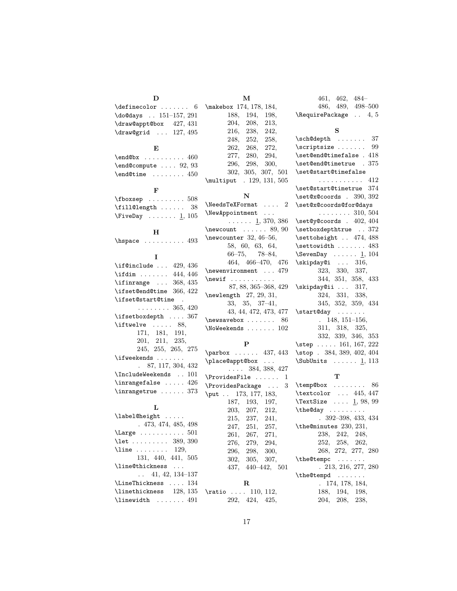| $\definecolor 6 \mathbf{)}$<br>$\downarrow$ do@days  151-157, 291 |  |
|-------------------------------------------------------------------|--|
| \draw@appt@box 427, 431                                           |  |
| $\d$ raw@grid  127, 495                                           |  |
| E,                                                                |  |
| $\end{O}$ 460                                                     |  |
| $\end$ Compute  92, 93                                            |  |

 $\verb+\end@time + \ldots + 450$ F

| $\text{1}$ $\text{1}$ $\text{2}$ $\text{1}$ $\text{2}$ $\text{2}$ $\text{3}$ $\text{3}$ $\text{4}$ $\text{5}$ $\text{5}$ $\text{6}$ $\text{7}$ $\text{7}$ $\text{8}$ $\text{1}$ $\text{1}$ $\text{1}$ $\text{2}$ $\text{1}$ $\text{2}$ $\text{1}$ $\text{2}$ $\text{1}$ $\text{2}$ $\text{3}$ $\text{4}$ $\text{5$ |  |  |  |
|--------------------------------------------------------------------------------------------------------------------------------------------------------------------------------------------------------------------------------------------------------------------------------------------------------------------|--|--|--|
| $\text{fill}$ ength  38                                                                                                                                                                                                                                                                                            |  |  |  |
| $\text{FiveDay} \dots \dots \underline{1}, 105$                                                                                                                                                                                                                                                                    |  |  |  |

D

#### H

 $\label{eq:1} \verb+\hspace+1+ \verb+\hspace+1+ \verb+\hspace+1+ \verb+\hspace+1+ \verb+\hspace+1+ \verb+\hspace+1+ \verb+\hspace+1+ \verb+\hspace+1+ \verb+\hspace+1+ \verb+\hspace+1+ \verb+\hspace+ \verb+\hspace+ \verb+\hspace+ \verb+\hspace+ \verb+\hspace+ \verb+\hspace+ \verb+\hspace+ \verb+\hspace+ \verb+\hspace+ \verb+\hspace+ \verb+\hspace+ \verb+\hspace+ \verb+\hspace+ \verb+\hspace+ \verb+\hspace+ \verb+\hspace+ \verb+\hspace+ \verb+\hspace+ \verb+\hspace+ \verb+\hspace+ \verb+\hspace+ \verb+\hspace+ \$ 

### I

| $\left\{436 \ldots 429, 436\right\}$ |
|--------------------------------------|
| $\left\{44, 446\right\}$             |
| \ifinrange $\ldots$ 368, 435         |
| \ifset@end@time 366, 422             |
| \ifset@start@time                    |
| $\ldots \ldots \ldots 365, 420$      |
| \ifsetboxdepth  367                  |
| $\{$ iftwelve  88,                   |
| 171, 181, 191,                       |
| 201, 211, 235,                       |
| 245, 255, 265, 275                   |
| \ifweekends                          |
| $. \t87, 117, 304, 432$              |
| \IncludeWeekends  101                |
| $\in$ 126                            |
| $\infty$ 373                         |

### L

| \label@height                          |
|----------------------------------------|
| .473,474,485,498                       |
| $\text{Large} \dots \dots \dots 501$   |
| \let  389, 390                         |
| $\{\text{line} \dots \dots \quad 129,$ |
| 131, 440, 441, 505                     |
| \line@thickness                        |
| $\ldots$ 41, 42, 134–137               |
| \LineThickness  134                    |
| \linethickness 128, 135                |
| \linewidth  491                        |

| \makebox 174, 178, 184, |      |      |
|-------------------------|------|------|
| 188.                    | 194, | 198, |
| 204.                    | 208, | 213, |
| 216,                    | 238, | 242. |
| 248.                    | 252, | 258, |
| 262.                    | 268, | 272. |
| 277,                    | 280, | 294. |
| 296,                    | 298, | 300, |

302, 305, 307, 501 \multiput . 129, 131, 505

M

N

| $\texttt{\textbackslash} \mathbb{R}$ $2$             |
|------------------------------------------------------|
| \NewAppointment                                      |
| $\ldots$ $\ldots$ 1, 370, 386                        |
| $\neq 89, 90$                                        |
| $\text{newcounter } 32, 46-56,$                      |
| 58, 60, 63, 64,                                      |
| $66-75, 78-84,$                                      |
| 464, 466-470, 476                                    |
| \newenvironment  479                                 |
|                                                      |
| 87, 88, 365-368, 429                                 |
| $\neq$ length 27, 29, 31,                            |
| $33, 35, 37-41,$                                     |
| 43, 44, 472, 473, 477                                |
| $\neq$<br>86                                         |
| $\backslash$ NoWeekends $\ldots \ldots \ldots \ 102$ |
|                                                      |

### P

| $\parbox{1.1cm}{parbox} \ldots 437, 443$ |                |                        |  |
|------------------------------------------|----------------|------------------------|--|
| \place@appt@box                          |                |                        |  |
|                                          |                | $\ldots$ 384, 388, 427 |  |
| $\ProvidesFile \dots 1$                  |                |                        |  |
| $\ProvidesPackage \dots 3$               |                |                        |  |
| \put 173, 177, 183,                      |                |                        |  |
|                                          | 187, 193, 197, |                        |  |
|                                          | 203, 207, 212, |                        |  |
|                                          | 215, 237, 241, |                        |  |
|                                          | 247, 251, 257, |                        |  |
|                                          | 261, 267, 271, |                        |  |
|                                          | 276, 279, 294, |                        |  |
|                                          | 296, 298, 300, |                        |  |
|                                          | 302, 305, 307, |                        |  |
|                                          |                | 437, 440-442, 501      |  |
|                                          | $\mathbf R$    |                        |  |
|                                          |                |                        |  |
| $\tau$ io  110, 112,                     |                |                        |  |
|                                          | 292, 424, 425, |                        |  |

S  $\sch@depth$  ....... 37 \scriptsize ....... 99 \set@end@timefalse . 418 \set@end@timetrue . 375 \set@start@timefalse . . . . . . . . . . . 412 \set@start@timetrue 374 \set@x@coords . 390, 392 \set@x@coords@for@days . . . . . . . . 310, 504 \set@y@coords . 402, 404 \setboxdepthtrue . . 372 \settoheight . . 474, 488 \settowidth . . . . . . . 483  $\S$ evenDay . . . . . . 1, 104 \skipday@i . . . 316, 323, 330, 337, 344, 351, 358, 433  $\kappa$ ipday@ii ... 317, 324, 331, 338, 345, 352, 359, 434 \start@day . . . . . . . . 148, 151–156, 311, 318, 325, 332, 339, 346, 353 \step .... 161, 167, 222 \stop . 384, 389, 402, 404  $\text{SubUnits} \dots \dots \underline{1}, 113$ 

461, 462, 484– 486, 489, 498–500 \RequirePackage . . 4, 5

#### T

| $\label{thm:subspace}$ $\therefore$ $\therefore$ $\therefore$<br>86 |
|---------------------------------------------------------------------|
| \textcolor  445, 447                                                |
| $\text{TextSize} \dots \underline{1}, 98, 99$                       |
| \the@day                                                            |
| $.392 - 398, 433, 434$                                              |
| \the@minutes 230, 231,                                              |
| 238, 242, 248,                                                      |
| 252, 258, 262,                                                      |
| 268, 272, 277, 280                                                  |
| \the@tempc                                                          |
| .213, 216, 277, 280                                                 |
| \the@tempd                                                          |
| . 174, 178, 184,                                                    |
| 188, 194, 198,                                                      |
| 204, 208, 238,                                                      |